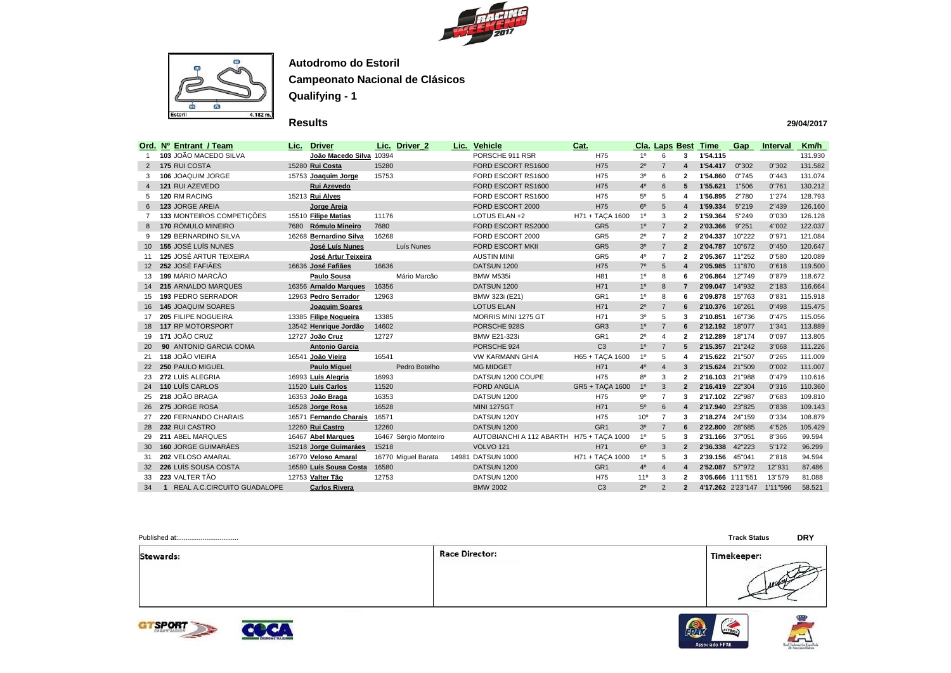



## **Results**

|                 | Ord. Nº Entrant / Team         | Lic. | <b>Driver</b>           |       | Lic. Driver_2         | Lic. Vehicle                             | Cat.            |                 | <b>Cla. Laps Best</b>   |                         | <b>Time</b>       | Gap    | <b>Interval</b> | Km/h    |
|-----------------|--------------------------------|------|-------------------------|-------|-----------------------|------------------------------------------|-----------------|-----------------|-------------------------|-------------------------|-------------------|--------|-----------------|---------|
| -1              | 103 JOÃO MACEDO SILVA          |      | João Macedo Silva 10394 |       |                       | PORSCHE 911 RSR                          | H75             | 1 <sup>0</sup>  | 6                       | $\mathbf{3}$            | 1'54.115          |        |                 | 131.930 |
| 2               | <b>175 RUI COSTA</b>           |      | 15280 Rui Costa         | 15280 |                       | FORD ESCORT RS1600                       | H75             | $2^{\circ}$     | $\overline{7}$          | 4                       | 1'54.417          | 0"302  | 0"302           | 131.582 |
| 3               | 106 JOAQUIM JORGE              |      | 15753 Joaquim Jorge     | 15753 |                       | FORD ESCORT RS1600                       | H75             | 3 <sup>0</sup>  | 6                       | $\mathbf{2}$            | 1'54.860          | 0"745  | 0"443           | 131.074 |
| 4               | 121 RUI AZEVEDO                |      | Rui Azevedo             |       |                       | FORD ESCORT RS1600                       | H75             | $4^{\circ}$     | $6\phantom{1}$          | 5                       | 1'55.621          | 1"506  | 0"761           | 130.212 |
| 5               | 120 RM RACING                  |      | 15213 Rui Alves         |       |                       | FORD ESCORT RS1600                       | H75             | $5^{\circ}$     | 5                       | 4                       | 1'56.895          | 2"780  | 1"274           | 128.793 |
| 6               | 123 JORGE AREIA                |      | Jorge Areia             |       |                       | FORD ESCORT 2000                         | H75             | 6 <sup>o</sup>  | 5 <sup>5</sup>          | 4                       | 1'59.334          | 5"219  | 2"439           | 126.160 |
|                 | 133 MONTEIROS COMPETIÇÕES      |      | 15510 Filipe Matias     | 11176 |                       | LOTUS ELAN +2                            | H71 + TAÇA 1600 | 1 <sup>0</sup>  | 3                       | $\mathbf{2}$            | 1'59.364          | 5"249  | 0"030           | 126.128 |
| 8               | 170 RÓMULO MINEIRO             | 7680 | <b>Rómulo Mineiro</b>   | 7680  |                       | FORD ESCORT RS2000                       | GR <sub>5</sub> | 1 <sup>0</sup>  | $\overline{7}$          | $\overline{2}$          | 2'03.366          | 9"251  | 4"002           | 122.037 |
| 9               | <b>129 BERNARDINO SILVA</b>    |      | 16268 Bernardino Silva  | 16268 |                       | FORD ESCORT 2000                         | GR <sub>5</sub> | $2^{\circ}$     | $\overline{7}$          | $\mathbf{2}$            | 2'04.337          | 10"222 | 0"971           | 121.084 |
| 10 <sup>°</sup> | <b>155 JOSÉ LUÍS NUNES</b>     |      | José Luís Nunes         |       | Luís Nunes            | <b>FORD ESCORT MKII</b>                  | GR <sub>5</sub> | 3 <sup>0</sup>  | $\overline{7}$          | $\overline{2}$          | 2'04.787          | 10"672 | 0"450           | 120.647 |
| 11              | <b>125 JOSÉ ARTUR TEIXEIRA</b> |      | José Artur Teixeira     |       |                       | <b>AUSTIN MINI</b>                       | GR <sub>5</sub> | $4^{\circ}$     | $\overline{7}$          | $\mathbf{2}$            | 2'05.367          | 11"252 | 0"580           | 120.089 |
|                 | 12 252 JOSÉ FAFIÃES            |      | 16636 José Fafiães      | 16636 |                       | DATSUN 1200                              | H75             | $7^\circ$       | 5 <sup>5</sup>          | $\overline{\mathbf{4}}$ | 2'05.985          | 11"870 | 0"618           | 119.500 |
| 13              | 199 MÁRIO MARCÃO               |      | <b>Paulo Sousa</b>      |       | Mário Marcão          | BMW M535i                                | H <sub>81</sub> | 1 <sup>0</sup>  | 8                       | 6                       | 2'06.864          | 12"749 | 0"879           | 118.672 |
|                 | 14 215 ARNALDO MARQUES         |      | 16356 Arnaldo Marques   | 16356 |                       | DATSUN 1200                              | H71             | 1 <sup>0</sup>  | 8                       | 7                       | 2'09.047          | 14"932 | 2"183           | 116.664 |
| 15              | <b>193 PEDRO SERRADOR</b>      |      | 12963 Pedro Serrador    | 12963 |                       | BMW 323i (E21)                           | GR <sub>1</sub> | $1^{\circ}$     | 8                       | 6                       | 2'09.878          | 15"763 | 0"831           | 115.918 |
| 16              | <b>145 JOAQUIM SOARES</b>      |      | <b>Joaquim Soares</b>   |       |                       | <b>LOTUS ELAN</b>                        | H71             | $2^{\circ}$     | $\overline{7}$          | 6                       | 2'10.376          | 16"261 | 0"498           | 115.475 |
| 17              | <b>205 FILIPE NOGUEIRA</b>     |      | 13385 Filipe Nogueira   | 13385 |                       | MORRIS MINI 1275 GT                      | H71             | 3 <sup>0</sup>  | 5                       | 3                       | 2'10.851          | 16"736 | 0"475           | 115.056 |
| 18              | 117 RP MOTORSPORT              |      | 13542 Henrique Jordão   | 14602 |                       | PORSCHE 928S                             | GR <sub>3</sub> | 1 <sup>0</sup>  | $\overline{7}$          | 6                       | 2'12.192          | 18"077 | 1"341           | 113.889 |
| 19              | 171 JOÃO CRUZ                  |      | 12727 João Cruz         | 12727 |                       | <b>BMW E21-323i</b>                      | GR <sub>1</sub> | $2^{\circ}$     | $\overline{\mathbf{A}}$ | $\mathbf{2}$            | 2'12.289          | 18"174 | 0"097           | 113.805 |
| <b>20</b>       | 90 ANTONIO GARCIA COMA         |      | <b>Antonio Garcia</b>   |       |                       | PORSCHE 924                              | C <sub>3</sub>  | 1 <sup>0</sup>  | $\overline{7}$          | 5                       | 2'15.357          | 21"242 | 3"068           | 111.226 |
| 21              | 118 JOÃO VIEIRA                |      | 16541 João Vieira       | 16541 |                       | <b>VW KARMANN GHIA</b>                   | H65 + TAÇA 1600 | 1 <sup>0</sup>  | 5                       | 4                       | 2'15.622          | 21"507 | 0"265           | 111.009 |
| <b>22</b>       | <b>250 PAULO MIGUEL</b>        |      | <b>Paulo Miguel</b>     |       | Pedro Botelho         | <b>MG MIDGET</b>                         | H71             | $4^{\rm o}$     | $\overline{4}$          | 3                       | 2'15.624          | 21"509 | 0"002           | 111.007 |
| 23              | 272 LUÍS ALEGRIA               |      | 16993 Luís Alegria      | 16993 |                       | DATSUN 1200 COUPE                        | H75             | $8^{\circ}$     | 3                       | $\mathbf{2}$            | 2'16.103          | 21"988 | 0"479           | 110.616 |
| 24              | 110 LUÍS CARLOS                |      | 11520 Luís Carlos       | 11520 |                       | <b>FORD ANGLIA</b>                       | GR5 + TAÇA 1600 | 1 <sup>0</sup>  | $\mathbf{3}$            | $\mathbf{2}$            | 2'16.419          | 22"304 | 0"316           | 110.360 |
| 25              | 218 JOÃO BRAGA                 |      | 16353 João Braga        | 16353 |                       | DATSUN 1200                              | H75             | $9^{\circ}$     | $\overline{7}$          | 3                       | 2'17.102          | 22"987 | 0"683           | 109.810 |
| 26              | 275 JORGE ROSA                 |      | 16528 Jorge Rosa        | 16528 |                       | <b>MINI 1275GT</b>                       | H71             | 5 <sup>0</sup>  | 6                       | 4                       | 2'17.940          | 23"825 | 0"838           | 109.143 |
| 27              | 220 FERNANDO CHARAIS           |      | 16571 Fernando Charais  | 16571 |                       | DATSUN 120Y                              | H75             | 10 <sup>o</sup> | $\overline{7}$          | 3                       | 2'18.274          | 24"159 | 0"334           | 108.879 |
| 28              | 232 RUI CASTRO                 |      | 12260 Rui Castro        | 12260 |                       | DATSUN 1200                              | GR <sub>1</sub> | 3 <sup>o</sup>  | $\overline{7}$          | 6                       | 2'22.800          | 28"685 | 4"526           | 105.429 |
| 29              | 211 ABEL MARQUES               |      | 16467 Abel Marques      |       | 16467 Sérgio Monteiro | AUTOBIANCHI A 112 ABARTH H75 + TAÇA 1000 |                 | 1 <sup>0</sup>  | 5                       | 3                       | 2'31.166          | 37"051 | 8"366           | 99.594  |
| 30              | <b>160 JORGE GUIMARÁES</b>     |      | 15218 Jorge Guimaráes   | 15218 |                       | <b>VOLVO 121</b>                         | H71             | 6 <sup>o</sup>  | 3                       | $\mathbf{2}$            | 2'36.338          | 42"223 | 5"172           | 96.299  |
| 31              | 202 VELOSO AMARAL              |      | 16770 Veloso Amaral     |       | 16770 Miguel Barata   | 14981 DATSUN 1000                        | H71 + TAÇA 1000 | $1^{\circ}$     | 5                       | 3                       | 2'39.156          | 45"041 | 2"818           | 94.594  |
|                 | 32 226 LUÍS SOUSA COSTA        |      | 16580 Luís Sousa Costa  | 16580 |                       | DATSUN 1200                              | GR <sub>1</sub> | 4 <sup>o</sup>  | $\overline{4}$          | 4                       | 2'52.087          | 57"972 | 12"931          | 87.486  |
| 33              | 223 VALTER TÃO                 |      | 12753 Valter Tão        | 12753 |                       | DATSUN 1200                              | H75             | 11 <sup>°</sup> | 3                       | $\mathbf{2}$            | 3'05.666 1'11"551 |        | 13"579          | 81.088  |
| 34              | 1 REAL A.C.CIRCUITO GUADALOPE  |      | <b>Carlos Rivera</b>    |       |                       | <b>BMW 2002</b>                          | C <sub>3</sub>  | $2^{\circ}$     | 2                       | $\mathbf{2}$            | 4'17.262 2'23"147 |        | 1'11"596        | 58.521  |

Stewards:











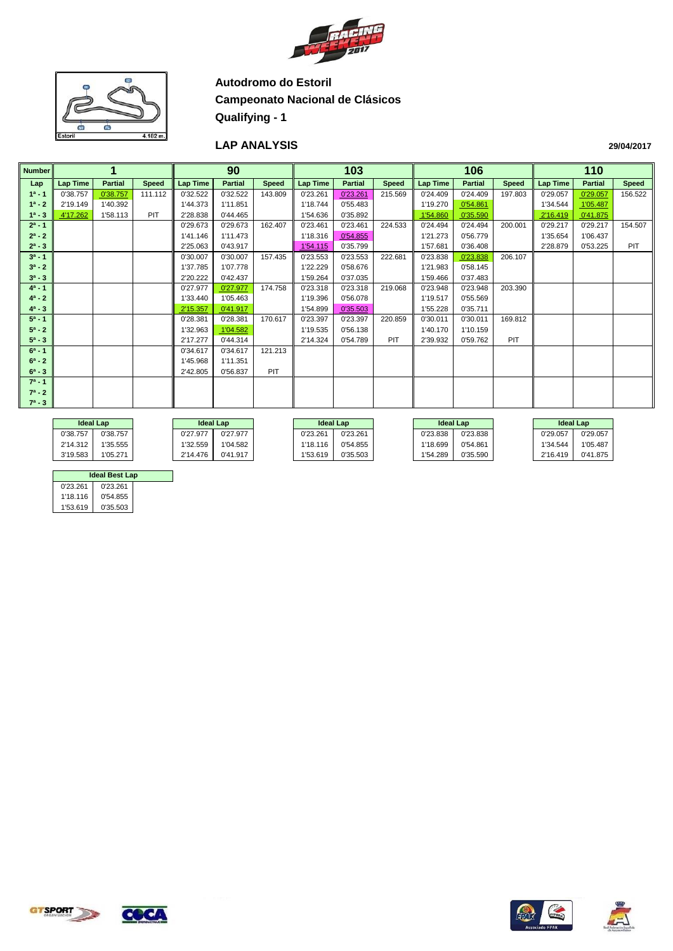



#### **LAP ANALYSIS**

| <b>Number</b> |          |                |              |          | 90             |              |                 | 103            |              |                 | 106            |              |                 | 110            |            |
|---------------|----------|----------------|--------------|----------|----------------|--------------|-----------------|----------------|--------------|-----------------|----------------|--------------|-----------------|----------------|------------|
| Lap           | Lap Time | <b>Partial</b> | <b>Speed</b> | Lap Time | <b>Partial</b> | <b>Speed</b> | <b>Lap Time</b> | <b>Partial</b> | <b>Speed</b> | <b>Lap Time</b> | <b>Partial</b> | <b>Speed</b> | <b>Lap Time</b> | <b>Partial</b> | Speed      |
| $1^a - 1$     | 0'38.757 | 0'38.757       | 111.112      | 0'32.522 | 0'32.522       | 143.809      | 0'23.261        | 0'23.261       | 215.569      | 0'24.409        | 0'24.409       | 197.803      | 0'29.057        | 0'29.057       | 156.522    |
| $1^a - 2$     | 2'19.149 | 1'40.392       |              | 1'44.373 | 1'11.851       |              | 1'18.744        | 0'55.483       |              | 1'19.270        | 0'54.861       |              | 1'34.544        | 1'05.487       |            |
| $1^a - 3$     | 4'17.262 | 1'58.113       | PIT          | 2'28.838 | 0'44.465       |              | 1'54.636        | 0'35.892       |              | 1'54.860        | 0'35.590       |              | 2'16.419        | 0'41.875       |            |
| $2^a - 1$     |          |                |              | 0'29.673 | 0'29.673       | 162.407      | 0'23.461        | 0'23.461       | 224.533      | 0'24.494        | 0'24.494       | 200.001      | 0'29.217        | 0'29.217       | 154.507    |
| $2^a - 2$     |          |                |              | 1'41.146 | 1'11.473       |              | 1'18.316        | 0'54.855       |              | 1'21.273        | 0'56.779       |              | 1'35.654        | 1'06.437       |            |
| $2^a - 3$     |          |                |              | 2'25.063 | 0'43.917       |              | 1'54.115        | 0'35.799       |              | 1'57.681        | 0'36.408       |              | 2'28.879        | 0'53.225       | <b>PIT</b> |
| $3^a - 1$     |          |                |              | 0'30.007 | 0'30.007       | 157.435      | 0'23.553        | 0'23.553       | 222.681      | 0'23.838        | 0'23.838       | 206.107      |                 |                |            |
| $3^a - 2$     |          |                |              | 1'37.785 | 1'07.778       |              | 1'22.229        | 0'58.676       |              | 1'21.983        | 0'58.145       |              |                 |                |            |
| $3^a - 3$     |          |                |              | 2'20.222 | 0'42.437       |              | 1'59.264        | 0'37.035       |              | 1'59.466        | 0'37.483       |              |                 |                |            |
| $4^a - 1$     |          |                |              | 0'27.977 | 0'27.977       | 174.758      | 0'23.318        | 0'23.318       | 219.068      | 0'23.948        | 0'23.948       | 203.390      |                 |                |            |
| $4^a - 2$     |          |                |              | 1'33.440 | 1'05.463       |              | 1'19.396        | 0'56.078       |              | 1'19.517        | 0'55.569       |              |                 |                |            |
| $4^a - 3$     |          |                |              | 2'15.357 | 0'41.917       |              | 1'54.899        | 0'35.503       |              | 1'55.228        | 0'35.711       |              |                 |                |            |
| $5^a - 1$     |          |                |              | 0'28.381 | 0'28.381       | 170.617      | 0'23.397        | 0'23.397       | 220.859      | 0'30.011        | 0'30.011       | 169.812      |                 |                |            |
| $5^a - 2$     |          |                |              | 1'32.963 | 1'04.582       |              | 1'19.535        | 0'56.138       |              | 1'40.170        | 1'10.159       |              |                 |                |            |
| $5^a - 3$     |          |                |              | 2'17.277 | 0'44.314       |              | 2'14.324        | 0'54.789       | <b>PIT</b>   | 2'39.932        | 0'59.762       | <b>PIT</b>   |                 |                |            |
| $6^a - 1$     |          |                |              | 0'34.617 | 0'34.617       | 121.213      |                 |                |              |                 |                |              |                 |                |            |
| $6^a - 2$     |          |                |              | 1'45.968 | 1'11.351       |              |                 |                |              |                 |                |              |                 |                |            |
| $6^a - 3$     |          |                |              | 2'42.805 | 0'56.837       | <b>PIT</b>   |                 |                |              |                 |                |              |                 |                |            |
| $7^a - 1$     |          |                |              |          |                |              |                 |                |              |                 |                |              |                 |                |            |
| $7^a - 2$     |          |                |              |          |                |              |                 |                |              |                 |                |              |                 |                |            |
| $7^a - 3$     |          |                |              |          |                |              |                 |                |              |                 |                |              |                 |                |            |

|          | <b>Ideal Lap</b> |              | <b>Ideal Lap</b> | <b>Ideal Lap</b> |          | <b>Ideal Lap</b> |          |          | <b>Ideal Lap</b> |
|----------|------------------|--------------|------------------|------------------|----------|------------------|----------|----------|------------------|
| 0'38.757 | 0'38.757         | 0'27.977     | 0'27.977         | 0'23.261         | 0'23.261 | 0'23.838         | 0'23.838 | 0'29.057 | 0'29.057         |
| 2'14.312 | 1'35.555         | $1'32.559$ . | 1'04.582         | 1'18.116         | 0'54.855 | 118.699          | 0'54.861 | 1'34.544 | 1'05.487         |
| 3'19.583 | 1'05.271         | 2'14.476     | 0'41.917         | 1'53.619         | 0'35.503 | 1'54.289         | 0'35.590 | 2'16.419 | 0'41.875         |

| Ideal Best Lap |          |  |  |  |  |  |  |  |  |  |  |
|----------------|----------|--|--|--|--|--|--|--|--|--|--|
| 0'23.261       | 0'23.261 |  |  |  |  |  |  |  |  |  |  |
| 1'18.116       | 0'54.855 |  |  |  |  |  |  |  |  |  |  |
| 1'53.619       | 0'35.503 |  |  |  |  |  |  |  |  |  |  |







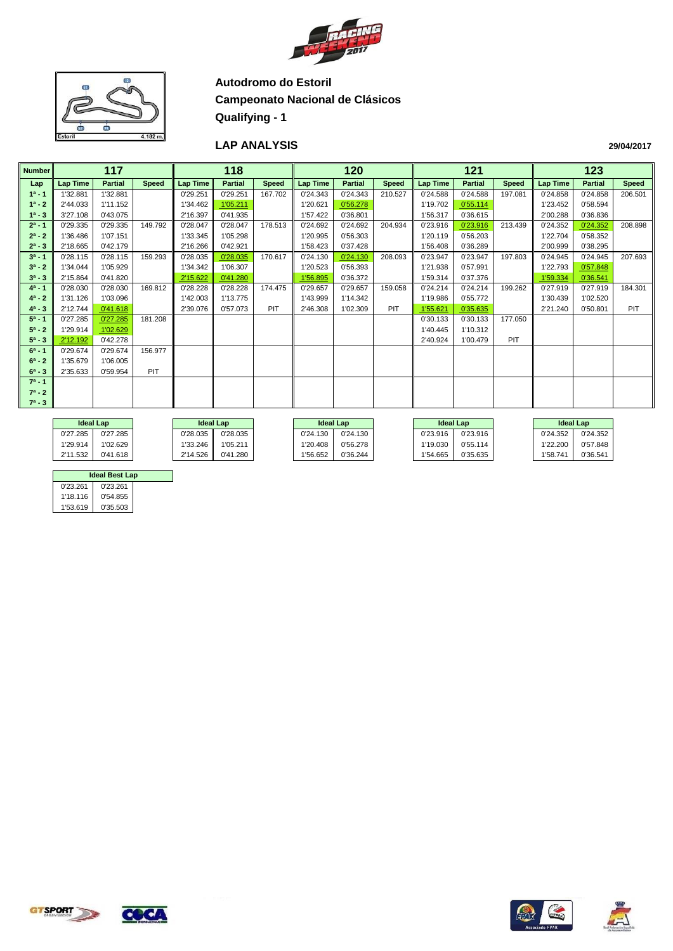



#### **LAP ANALYSIS**

| <b>Number</b> |                 | 117            |              |                 | 118            |              |                 | 120            |              |                 | 121            |              |                 | 123            |              |
|---------------|-----------------|----------------|--------------|-----------------|----------------|--------------|-----------------|----------------|--------------|-----------------|----------------|--------------|-----------------|----------------|--------------|
| Lap           | <b>Lap Time</b> | <b>Partial</b> | <b>Speed</b> | <b>Lap Time</b> | <b>Partial</b> | <b>Speed</b> | <b>Lap Time</b> | <b>Partial</b> | <b>Speed</b> | <b>Lap Time</b> | <b>Partial</b> | <b>Speed</b> | <b>Lap Time</b> | <b>Partial</b> | <b>Speed</b> |
| $1^a - 1$     | 1'32.881        | 1'32.881       |              | 0'29.251        | 0'29.251       | 167.702      | 0'24.343        | 0'24.343       | 210.527      | 0'24.588        | 0'24.588       | 197.081      | 0'24.858        | 0'24.858       | 206.501      |
| $1^a - 2$     | 2'44.033        | 1'11.152       |              | 1'34.462        | 1'05.211       |              | 1'20.621        | 0'56.278       |              | 1'19.702        | 0'55.114       |              | 1'23.452        | 0'58.594       |              |
| $1^a - 3$     | 3'27.108        | 0'43.075       |              | 2'16.397        | 0'41.935       |              | 1'57.422        | 0'36.801       |              | 1'56.317        | 0'36.615       |              | 2'00.288        | 0'36.836       |              |
| $2^a - 1$     | 0'29.335        | 0'29.335       | 149.792      | 0'28.047        | 0'28.047       | 178.513      | 0'24.692        | 0'24.692       | 204.934      | 0'23.916        | 0'23.916       | 213.439      | 0'24.352        | 0'24.352       | 208.898      |
| $2^a - 2$     | 1'36.486        | 1'07.151       |              | 1'33.345        | 1'05.298       |              | 1'20.995        | 0'56.303       |              | 1'20.119        | 0'56.203       |              | 1'22.704        | 0'58.352       |              |
| $2^a - 3$     | 2'18.665        | 0'42.179       |              | 2'16.266        | 0'42.921       |              | 1'58.423        | 0'37.428       |              | 1'56.408        | 0'36.289       |              | 2'00.999        | 0'38.295       |              |
| $3^a - 1$     | 0'28.115        | 0'28.115       | 159.293      | 0'28.035        | 0'28.035       | 170.617      | 0'24.130        | 0'24.130       | 208.093      | 0'23.947        | 0'23.947       | 197.803      | 0'24.945        | 0'24.945       | 207.693      |
| $3^a - 2$     | 1'34.044        | 1'05.929       |              | 1'34.342        | 1'06.307       |              | 1'20.523        | 0'56.393       |              | 1'21.938        | 0'57.991       |              | 1'22.793        | 0'57.848       |              |
| $3^a - 3$     | 2'15.864        | 0'41.820       |              | 2'15.622        | 0'41.280       |              | 1'56.895        | 0'36.372       |              | 1'59.314        | 0'37.376       |              | 1'59.334        | 0'36.541       |              |
| $4^a - 1$     | 0'28.030        | 0'28.030       | 169.812      | 0'28.228        | 0'28.228       | 174.475      | 0'29.657        | 0'29.657       | 159.058      | 0'24.214        | 0'24.214       | 199.262      | 0'27.919        | 0'27.919       | 184.301      |
| $4^a - 2$     | 1'31.126        | 1'03.096       |              | 1'42.003        | 1'13.775       |              | 1'43.999        | 1'14.342       |              | 1'19.986        | 0'55.772       |              | 1'30.439        | 1'02.520       |              |
| $4^a - 3$     | 2'12.744        | 0'41.618       |              | 2'39.076        | 0'57.073       | <b>PIT</b>   | 2'46.308        | 1'02.309       | PIT          | 1'55.621        | 0'35.635       |              | 2'21.240        | 0'50.801       | <b>PIT</b>   |
| $5^a - 1$     | 0'27.285        | 0'27.285       | 181.208      |                 |                |              |                 |                |              | 0'30.133        | 0'30.133       | 177.050      |                 |                |              |
| $5^a - 2$     | 1'29.914        | 1'02.629       |              |                 |                |              |                 |                |              | 1'40.445        | 1'10.312       |              |                 |                |              |
| $5^a - 3$     | 2'12.192        | 0'42.278       |              |                 |                |              |                 |                |              | 2'40.924        | 1'00.479       | <b>PIT</b>   |                 |                |              |
| $6^a - 1$     | 0'29.674        | 0'29.674       | 156.977      |                 |                |              |                 |                |              |                 |                |              |                 |                |              |
| $6^a - 2$     | 1'35.679        | 1'06.005       |              |                 |                |              |                 |                |              |                 |                |              |                 |                |              |
| $6^a - 3$     | 2'35.633        | 0'59.954       | PIT          |                 |                |              |                 |                |              |                 |                |              |                 |                |              |
| $7^a - 1$     |                 |                |              |                 |                |              |                 |                |              |                 |                |              |                 |                |              |
| $7^a - 2$     |                 |                |              |                 |                |              |                 |                |              |                 |                |              |                 |                |              |
| $7^a - 3$     |                 |                |              |                 |                |              |                 |                |              |                 |                |              |                 |                |              |
|               |                 |                |              |                 |                |              |                 |                |              |                 |                |              |                 |                |              |

|          | <b>Ideal Lap</b> | <b>Ideal Lap</b> |          |          | <b>Ideal Lap</b> |          | <b>Ideal Lap</b> | <b>Ideal Lap</b> |          |
|----------|------------------|------------------|----------|----------|------------------|----------|------------------|------------------|----------|
| 0'27.285 | 0'27.285         | 0'28.035         | 0'28.035 | 0'24.130 | 0'24.130         | 0'23.916 | 0'23.916         | 0'24.352         | 0'24.352 |
| 1'29.914 | 1'02.629         | 1'33.246         | 1'05.211 | 1'20.408 | 0'56.278         | 1'19.030 | 0'55.114         | 1'22.200         | 0'57.848 |
| 2'11.532 | 0'41.618         | 2'14.526         | 0'41.280 | 1'56.652 | 0'36.244         | 1'54.665 | 0'35.635         | 1'58.741         | 0'36.541 |

|          | <b>Ideal Best Lap</b> |  |  |  |  |  |  |  |  |  |  |  |
|----------|-----------------------|--|--|--|--|--|--|--|--|--|--|--|
| 0'23.261 | 0'23.261              |  |  |  |  |  |  |  |  |  |  |  |
| 1'18.116 | 0'54.855              |  |  |  |  |  |  |  |  |  |  |  |
| 1'53.619 | 0'35.503              |  |  |  |  |  |  |  |  |  |  |  |





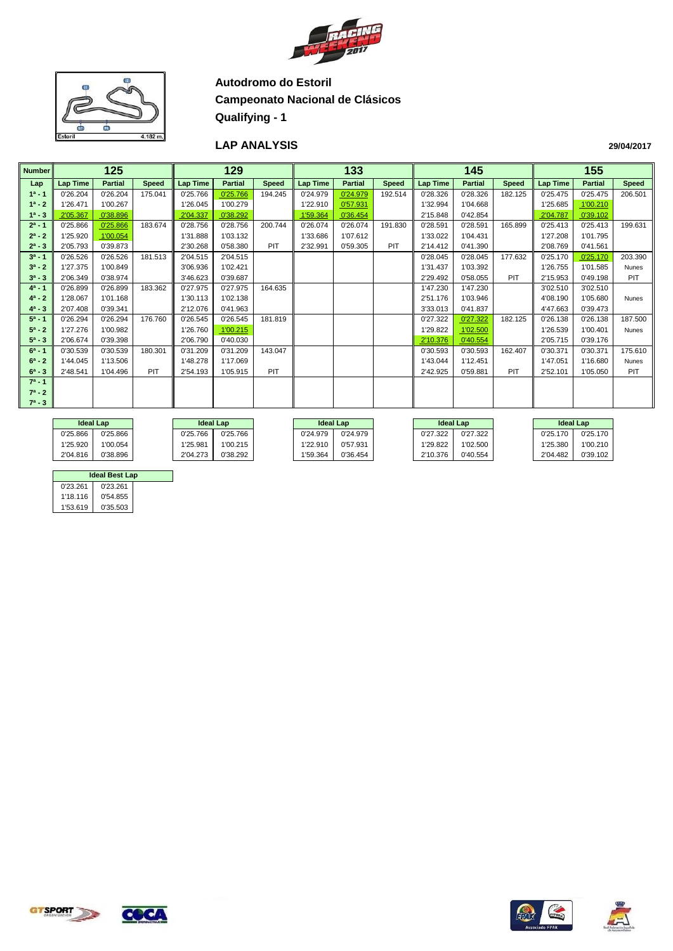



#### **LAP ANALYSIS**

| <b>Number</b> |                 | 125            |              |                 | 129            |              |                 | 133            |              |                 | 145            |         |                 | 155            |              |
|---------------|-----------------|----------------|--------------|-----------------|----------------|--------------|-----------------|----------------|--------------|-----------------|----------------|---------|-----------------|----------------|--------------|
| Lap           | <b>Lap Time</b> | <b>Partial</b> | <b>Speed</b> | <b>Lap Time</b> | <b>Partial</b> | <b>Speed</b> | <b>Lap Time</b> | <b>Partial</b> | <b>Speed</b> | <b>Lap Time</b> | <b>Partial</b> | Speed   | <b>Lap Time</b> | <b>Partial</b> | <b>Speed</b> |
| $1^a - 1$     | 0'26.204        | 0'26.204       | 175.041      | 0'25.766        | 0'25.766       | 194.245      | 0'24.979        | 0'24.979       | 192.514      | 0'28.326        | 0'28.326       | 182.125 | 0'25.475        | 0'25.475       | 206.501      |
| $1^a - 2$     | 1'26.471        | 1'00.267       |              | 1'26.045        | 1'00.279       |              | 1'22.910        | 0'57.931       |              | 1'32.994        | 1'04.668       |         | 1'25.685        | 1'00.210       |              |
| $1^a - 3$     | 2'05.367        | 0'38.896       |              | 2'04.337        | 0'38.292       |              | 1'59.364        | 0'36.454       |              | 2'15.848        | 0'42.854       |         | 2'04.787        | 0'39.102       |              |
| $2^a - 1$     | 0'25.866        | 0'25.866       | 183.674      | 0'28.756        | 0'28.756       | 200.744      | 0'26.074        | 0'26.074       | 191.830      | 0'28.591        | 0'28.591       | 165.899 | 0'25.413        | 0'25.413       | 199.631      |
| $2^a - 2$     | 1'25.920        | 1'00.054       |              | 1'31.888        | 1'03.132       |              | 1'33.686        | 1'07.612       |              | 1'33.022        | 1'04.431       |         | 1'27.208        | 1'01.795       |              |
| $2^a - 3$     | 2'05.793        | 0'39.873       |              | 2'30.268        | 0'58.380       | PIT          | 2'32.991        | 0'59.305       | PIT          | 2'14.412        | 0'41.390       |         | 2'08.769        | 0'41.561       |              |
| $3^a - 1$     | 0'26.526        | 0'26.526       | 181.513      | 2'04.515        | 2'04.515       |              |                 |                |              | 0'28.045        | 0'28.045       | 177.632 | 0'25.170        | 0'25.170       | 203.390      |
| $3^a - 2$     | 1'27.375        | 1'00.849       |              | 3'06.936        | 1'02.421       |              |                 |                |              | 1'31.437        | 1'03.392       |         | 1'26.755        | 1'01.585       | Nunes        |
| $3^a - 3$     | 2'06.349        | 0'38.974       |              | 3'46.623        | 0'39.687       |              |                 |                |              | 2'29.492        | 0'58.055       | PIT     | 2'15.953        | 0'49.198       | PIT          |
| $4^a - 1$     | 0'26.899        | 0'26.899       | 183.362      | 0'27.975        | 0'27.975       | 164.635      |                 |                |              | 1'47.230        | 1'47.230       |         | 3'02.510        | 3'02.510       |              |
| $4^a - 2$     | 1'28.067        | 1'01.168       |              | 1'30.113        | 1'02.138       |              |                 |                |              | 2'51.176        | 1'03.946       |         | 4'08.190        | 1'05.680       | <b>Nunes</b> |
| $4^a - 3$     | 2'07.408        | 0'39.341       |              | 2'12.076        | 0'41.963       |              |                 |                |              | 3'33.013        | 0'41.837       |         | 4'47.663        | 0'39.473       |              |
| $5^a - 1$     | 0'26.294        | 0'26.294       | 176.760      | 0'26.545        | 0'26.545       | 181.819      |                 |                |              | 0'27.322        | 0'27.322       | 182.125 | 0'26.138        | 0'26.138       | 187.500      |
| $5^a - 2$     | 1'27.276        | 1'00.982       |              | 1'26.760        | 1'00.215       |              |                 |                |              | 1'29.822        | 1'02.500       |         | 1'26.539        | 1'00.401       | <b>Nunes</b> |
| $5^a - 3$     | 2'06.674        | 0'39.398       |              | 2'06.790        | 0'40.030       |              |                 |                |              | 2'10.376        | 0'40.554       |         | 2'05.715        | 0'39.176       |              |
| $6^a - 1$     | 0'30.539        | 0'30.539       | 180.301      | 0'31.209        | 0'31.209       | 143.047      |                 |                |              | 0'30.593        | 0'30.593       | 162.407 | 0'30.371        | 0'30.371       | 175.610      |
| $6^a - 2$     | 1'44.045        | 1'13.506       |              | 1'48.278        | 1'17.069       |              |                 |                |              | 1'43.044        | 1'12.451       |         | 1'47.051        | 1'16.680       | Nunes        |
| $6^a - 3$     | 2'48.541        | 1'04.496       | PIT          | 2'54.193        | 1'05.915       | PIT          |                 |                |              | 2'42.925        | 0'59.881       | PIT     | 2'52.101        | 1'05.050       | PIT          |
| $7^a - 1$     |                 |                |              |                 |                |              |                 |                |              |                 |                |         |                 |                |              |
| $7^a - 2$     |                 |                |              |                 |                |              |                 |                |              |                 |                |         |                 |                |              |
| $7^a - 3$     |                 |                |              |                 |                |              |                 |                |              |                 |                |         |                 |                |              |
|               |                 |                |              |                 |                |              |                 |                |              |                 |                |         |                 |                |              |

|          | <b>Ideal Lap</b> |  |          | <b>Ideal Lap</b> |          | <b>Ideal Lap</b> |          | <b>Ideal Lap</b> |          | <b>Ideal Lap</b> |
|----------|------------------|--|----------|------------------|----------|------------------|----------|------------------|----------|------------------|
| 0'25.866 | 0'25.866         |  | 0'25.766 | 0'25.766         | 0'24.979 | 0'24.979         | 0'27.322 | 0'27.322         | 0'25.170 | 0'25.170         |
| 1'25.920 | 1'00.054         |  | 1'25.981 | 1'00.215         | 1'22.910 | 0'57.931         | 1'29.822 | 1'02.500         | 1'25.380 | 1'00.210         |
| 2'04.816 | <b>0'38.896</b>  |  | 2'04.273 | 0'38.292         | '59.364  | 0'36.454         | 2'10.376 | 0'40.554         | 2'04.482 | 0'39.102         |

| <b>Ideal Best Lap</b> |          |  |  |  |  |  |  |  |  |  |  |
|-----------------------|----------|--|--|--|--|--|--|--|--|--|--|
| 0'23.261              | 0'23.261 |  |  |  |  |  |  |  |  |  |  |
| 1'18.116              | 0'54.855 |  |  |  |  |  |  |  |  |  |  |
| 1'53.619              | 0'35.503 |  |  |  |  |  |  |  |  |  |  |







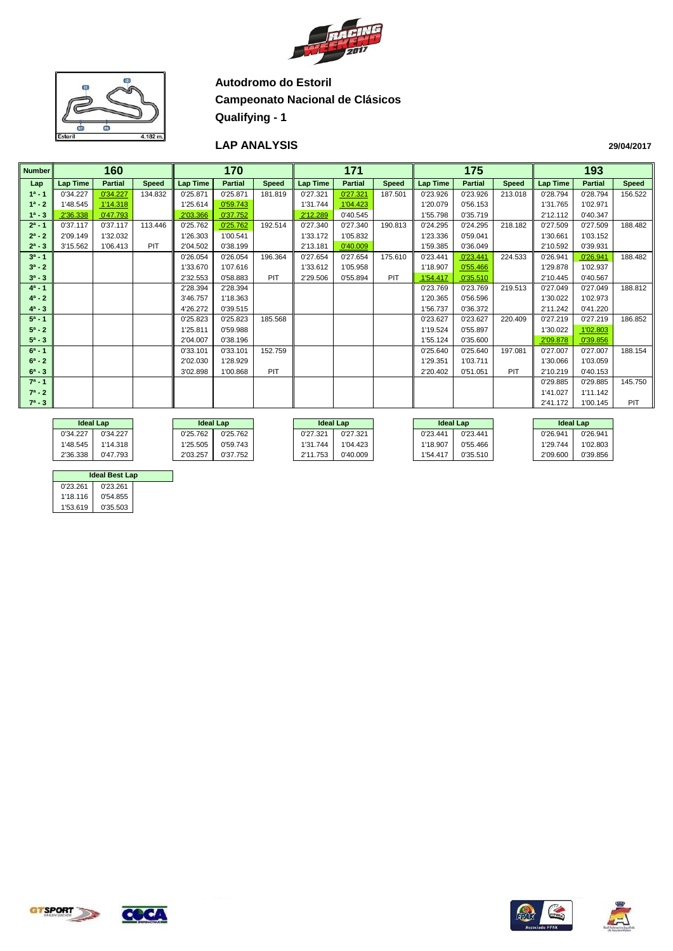



#### **LAP ANALYSIS**

| <b>Number</b> |                 | 160            |              |                 | 170            |              |                 | 171            |              |                 | 175            |              |                 | 193            |              |
|---------------|-----------------|----------------|--------------|-----------------|----------------|--------------|-----------------|----------------|--------------|-----------------|----------------|--------------|-----------------|----------------|--------------|
| Lap           | <b>Lap Time</b> | <b>Partial</b> | <b>Speed</b> | <b>Lap Time</b> | <b>Partial</b> | <b>Speed</b> | <b>Lap Time</b> | <b>Partial</b> | <b>Speed</b> | <b>Lap Time</b> | <b>Partial</b> | <b>Speed</b> | <b>Lap Time</b> | <b>Partial</b> | <b>Speed</b> |
| $1a - 1$      | 0'34.227        | 0'34.227       | 134.832      | 0'25.871        | 0'25.871       | 181.819      | 0'27.321        | 0'27.321       | 187.501      | 0'23.926        | 0'23.926       | 213.018      | 0'28.794        | 0'28.794       | 156.522      |
| $1^a - 2$     | 1'48.545        | 1'14.318       |              | 1'25.614        | 0'59.743       |              | 1'31.744        | 1'04.423       |              | 1'20.079        | 0'56.153       |              | 1'31.765        | 1'02.971       |              |
| $1^a - 3$     | 2'36.338        | 0'47.793       |              | 2'03.366        | 0'37.752       |              | 2'12.289        | 0'40.545       |              | 1'55.798        | 0'35.719       |              | 2'12.112        | 0'40.347       |              |
| $2^a - 1$     | 0'37.117        | 0'37.117       | 113.446      | 0'25.762        | 0'25.762       | 192.514      | 0'27.340        | 0'27.340       | 190.813      | 0'24.295        | 0'24.295       | 218.182      | 0'27.509        | 0'27.509       | 188.482      |
| $2^a - 2$     | 2'09.149        | 1'32.032       |              | 1'26.303        | 1'00.541       |              | 1'33.172        | 1'05.832       |              | 1'23.336        | 0'59.041       |              | 1'30.661        | 1'03.152       |              |
| $2^a - 3$     | 3'15.562        | 1'06.413       | PIT          | 2'04.502        | 0'38.199       |              | 2'13.181        | 0'40.009       |              | 1'59.385        | 0'36.049       |              | 2'10.592        | 0'39.931       |              |
| $3^a - 1$     |                 |                |              | 0'26.054        | 0'26.054       | 196.364      | 0'27.654        | 0'27.654       | 175.610      | 0'23.441        | 0'23.441       | 224.533      | 0'26.941        | 0'26.941       | 188.482      |
| $3^a - 2$     |                 |                |              | 1'33.670        | 1'07.616       |              | 1'33.612        | 1'05.958       |              | 1'18.907        | 0'55.466       |              | 1'29.878        | 1'02.937       |              |
| $3^a - 3$     |                 |                |              | 2'32.553        | 0'58.883       | PIT          | 2'29.506        | 0'55.894       | PIT          | 1'54.417        | 0'35.510       |              | 2'10.445        | 0'40.567       |              |
| $4^a - 1$     |                 |                |              | 2'28.394        | 2'28.394       |              |                 |                |              | 0'23.769        | 0'23.769       | 219.513      | 0'27.049        | 0'27.049       | 188.812      |
| $4^a - 2$     |                 |                |              | 3'46.757        | 1'18.363       |              |                 |                |              | 1'20.365        | 0'56.596       |              | 1'30.022        | 1'02.973       |              |
| $4^a - 3$     |                 |                |              | 4'26.272        | 0'39.515       |              |                 |                |              | 1'56.737        | 0'36.372       |              | 2'11.242        | 0'41.220       |              |
| $5^a - 1$     |                 |                |              | 0'25.823        | 0'25.823       | 185.568      |                 |                |              | 0'23.627        | 0'23.627       | 220.409      | 0'27.219        | 0'27.219       | 186.852      |
| $5^a - 2$     |                 |                |              | 1'25.811        | 0'59.988       |              |                 |                |              | 1'19.524        | 0'55.897       |              | 1'30.022        | 1'02.803       |              |
| $5^a - 3$     |                 |                |              | 2'04.007        | 0'38.196       |              |                 |                |              | 1'55.124        | 0'35.600       |              | 2'09.878        | 0'39.856       |              |
| $6^a - 1$     |                 |                |              | 0'33.101        | 0'33.101       | 152.759      |                 |                |              | 0'25.640        | 0'25.640       | 197.081      | 0'27.007        | 0'27.007       | 188.154      |
| $6^a - 2$     |                 |                |              | 2'02.030        | 1'28.929       |              |                 |                |              | 1'29.351        | 1'03.711       |              | 1'30.066        | 1'03.059       |              |
| $6^a - 3$     |                 |                |              | 3'02.898        | 1'00.868       | PIT          |                 |                |              | 2'20.402        | 0'51.051       | PIT          | 2'10.219        | 0'40.153       |              |
| $7^a - 1$     |                 |                |              |                 |                |              |                 |                |              |                 |                |              | 0'29.885        | 0'29.885       | 145.750      |
| $7^a - 2$     |                 |                |              |                 |                |              |                 |                |              |                 |                |              | 1'41.027        | 1'11.142       |              |
| $7^a - 3$     |                 |                |              |                 |                |              |                 |                |              |                 |                |              | 2'41.172        | 1'00.145       | <b>PIT</b>   |
|               |                 |                |              |                 |                |              |                 |                |              |                 |                |              |                 |                |              |

|          | <b>Ideal Lap</b> | <b>Ideal Lap</b> |          |               | <b>Ideal Lap</b> | <b>Ideal Lap</b> |          |          | <b>Ideal Lap</b> |
|----------|------------------|------------------|----------|---------------|------------------|------------------|----------|----------|------------------|
| 0'34.227 | 0'34.227         | 0'25.762         | 0'25.762 | 0'27.321      | 0'27.321         | 0'23.441         | 0'23.441 | 0'26.941 | 0'26.941         |
| '48.545  | 1'14.318         | 1'25.505         | 0'59.743 | 1'31.744      | 1'04.423         | 1'18.907         | 0'55.466 | 1'29.744 | 1'02.803         |
| 2'36.338 | 0'47.793         | 2'03.257         | 0'37.752 | 1.753<br>0'44 | 0'40.009         | 1'54.417         | 0'35.510 | 2'09.600 | 0'39.856         |

|          | <b>Ideal Best Lap</b> |  |
|----------|-----------------------|--|
| 0'23.261 | 0'23.261              |  |
| 1'18.116 | 0'54.855              |  |
| 1'53.619 | 0'35.503              |  |







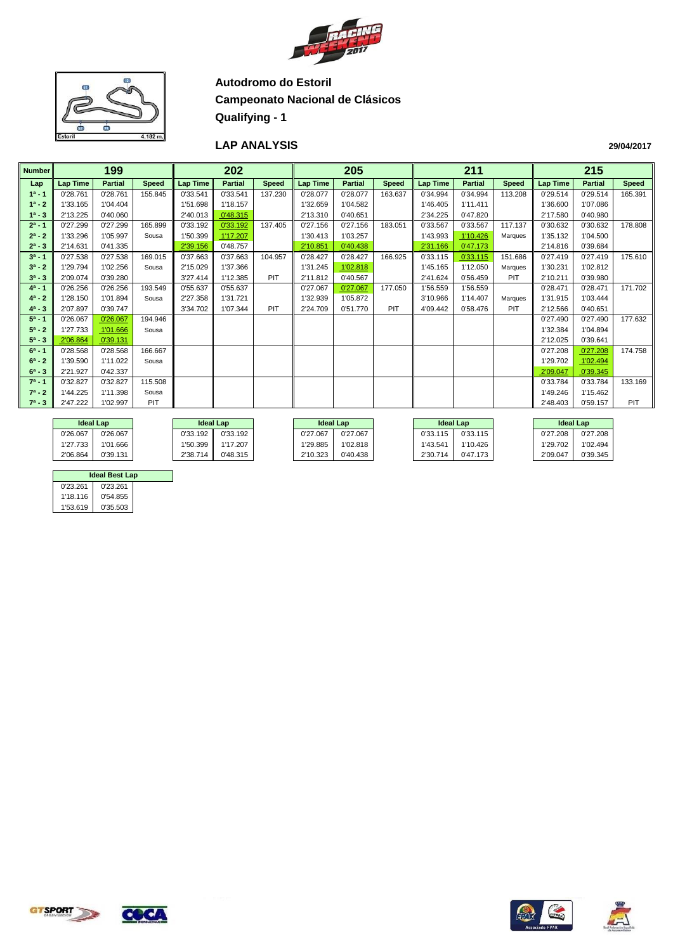



#### **LAP ANALYSIS**

|               |                               |                |              |                 |                |              |          |                |              |                 |                |              | 215                                |                |              |  |  |
|---------------|-------------------------------|----------------|--------------|-----------------|----------------|--------------|----------|----------------|--------------|-----------------|----------------|--------------|------------------------------------|----------------|--------------|--|--|
| <b>Number</b> |                               | 199            |              |                 | 202            |              |          | 205            |              |                 | 211            |              |                                    |                |              |  |  |
| Lap           | <b>Lap Time</b>               | <b>Partial</b> | <b>Speed</b> | <b>Lap Time</b> | <b>Partial</b> | <b>Speed</b> | Lap Time | <b>Partial</b> | <b>Speed</b> | <b>Lap Time</b> | <b>Partial</b> | <b>Speed</b> | <b>Lap Time</b>                    | <b>Partial</b> | <b>Speed</b> |  |  |
| $1a - 1$      | 0'28.761                      | 0'28.761       | 155.845      | 0'33.541        | 0'33.541       | 137.230      | 0'28.077 | 0'28.077       | 163.637      | 0'34.994        | 0'34.994       | 113.208      | 0'29.514                           | 0'29.514       | 165.391      |  |  |
| $1^a - 2$     | 1'33.165                      | 1'04.404       |              | 1'51.698        | 1'18.157       |              | 1'32.659 | 1'04.582       |              | 1'46.405        | 1'11.411       |              | 1'36.600                           | 1'07.086       |              |  |  |
| $1^a - 3$     | 2'13.225                      | 0'40.060       |              | 2'40.013        | 0'48.315       |              | 2'13.310 | 0'40.651       |              | 2'34.225        | 0'47.820       |              | 2'17.580                           | 0'40.980       |              |  |  |
| $2^a - 1$     | 0'27.299                      | 0'27.299       | 165.899      | 0'33.192        | 0'33.192       | 137.405      | 0'27.156 | 0'27.156       | 183.051      | 0'33.567        | 0'33.567       | 117.137      | 0'30.632                           | 0'30.632       | 178.808      |  |  |
| $2^a - 2$     | 1'33.296                      | 1'05.997       | Sousa        | 1'50.399        | 1'17.207       |              | 1'30.413 | 1'03.257       |              | 1'43.993        | 1'10.426       | Marques      | 1'35.132                           | 1'04.500       |              |  |  |
| $2^a - 3$     | 2'14.631                      | 0'41.335       |              | 2'39.156        | 0'48.757       |              | 2'10.851 | 0'40.438       |              | 2'31.166        | 0'47.173       |              | 2'14.816                           | 0'39.684       |              |  |  |
| $3^a - 1$     | 0'27.538                      | 0'27.538       | 169.015      | 0'37.663        | 0'37.663       | 104.957      | 0'28.427 | 0'28.427       | 166.925      | 0'33.115        | 0'33.115       | 151.686      | 0'27.419                           | 0'27.419       | 175.610      |  |  |
| $3^a - 2$     | 1'29.794                      | 1'02.256       | Sousa        | 2'15.029        | 1'37.366       |              | 1'31.245 | 1'02.818       |              | 1'45.165        | 1'12.050       | Marques      | 1'30.231                           | 1'02.812       |              |  |  |
| $3^a - 3$     | 2'09.074                      | 0'39.280       |              | 3'27.414        | 1'12.385       | PIT          | 2'11.812 | 0'40.567       |              | 2'41.624        | 0'56.459       | PIT          | 2'10.211                           | 0'39.980       |              |  |  |
| $4^a - 1$     | 0'26.256                      | 0'26.256       | 193.549      | 0'55.637        | 0'55.637       |              | 0'27.067 | 0'27.067       | 177.050      | 1'56.559        | 1'56.559       |              | 0'28.471                           | 0'28.471       | 171.702      |  |  |
| $4^a - 2$     | 1'28.150                      | 1'01.894       | Sousa        | 2'27.358        | 1'31.721       |              | 1'32.939 | 1'05.872       |              | 3'10.966        | 1'14.407       | Marques      | 1'31.915                           | 1'03.444       |              |  |  |
| $4^a - 3$     | 2'07.897                      | 0'39.747       |              | 3'34.702        | 1'07.344       | PIT          | 2'24.709 | 0'51.770       | PIT          | 4'09.442        | 0'58.476       | PIT          | 2'12.566                           | 0'40.651       |              |  |  |
| $5^a - 1$     | 0'26.067                      | 0'26.067       | 194.946      |                 |                |              |          |                |              |                 |                |              | 0'27.490                           | 0'27.490       | 177.632      |  |  |
| $5^a - 2$     | 1'27.733                      | 1'01.666       | Sousa        |                 |                |              |          |                |              |                 |                |              | 1'32.384                           | 1'04.894       |              |  |  |
| $5^a - 3$     | 2'06.864                      | 0'39.131       |              |                 |                |              |          |                |              |                 |                |              | 2'12.025                           | 0'39.641       |              |  |  |
| $6^a - 1$     | 0'28.568                      | 0'28.568       | 166.667      |                 |                |              |          |                |              |                 |                |              | 0'27.208                           | 0'27.208       | 174.758      |  |  |
| $6^a - 2$     | 1'39.590                      | 1'11.022       | Sousa        |                 |                |              |          |                |              |                 |                |              | 1'29.702                           | 1'02.494       |              |  |  |
| $6^a - 3$     | 2'21.927                      | 0'42.337       |              |                 |                |              |          |                |              |                 |                |              | 2'09.047                           | 0'39.345       |              |  |  |
| $7^a - 1$     | 0'32.827                      | 0'32.827       | 115.508      |                 |                |              |          |                |              |                 |                |              | 0'33.784                           | 0'33.784       | 133.169      |  |  |
| $7^a - 2$     | 1'44.225<br>1'11.398<br>Sousa |                |              |                 |                |              |          |                |              | 1'49.246        | 1'15.462       |              |                                    |                |              |  |  |
| $7^a - 3$     | 2'47.222                      | 1'02.997       | PIT          |                 |                |              |          |                |              |                 |                |              | 2'48.403<br><b>PIT</b><br>0'59.157 |                |              |  |  |
|               |                               |                |              |                 |                |              |          |                |              |                 |                |              |                                    |                |              |  |  |

|          | <b>Ideal Lap</b> |          | <b>Ideal Lap</b> |  |                      | <b>Ideal Lap</b> |          | <b>Ideal Lap</b> |          |          | <b>Ideal Lap</b> |
|----------|------------------|----------|------------------|--|----------------------|------------------|----------|------------------|----------|----------|------------------|
| 0'26.067 | 0'26.067         | 0'33.192 | 0'33.192         |  | 0'27.067             | 0'27.067         |          | 0'33.115         | 0'33.115 | 27.208   | 0'27.208         |
| 1'27.733 | 1'01.666         | 1'50.399 | 1'17.207         |  | 1'02.818<br>1'29.885 |                  | 1'43.541 | 1'10.426         | "29.702" | 1'02.494 |                  |
| 2'06.864 | 0'39.131         | 2'38.714 | 0'48.315         |  | 2'10.323             | 0'40.438         |          | 2'30.714         | 0'47.173 | 2'09.047 | 0'39.345         |

|          | <b>Ideal Best Lap</b> |  |
|----------|-----------------------|--|
| 0'23.261 | 0'23.261              |  |
| 1'18.116 | 0'54.855              |  |
| 1'53.619 | 0'35.503              |  |







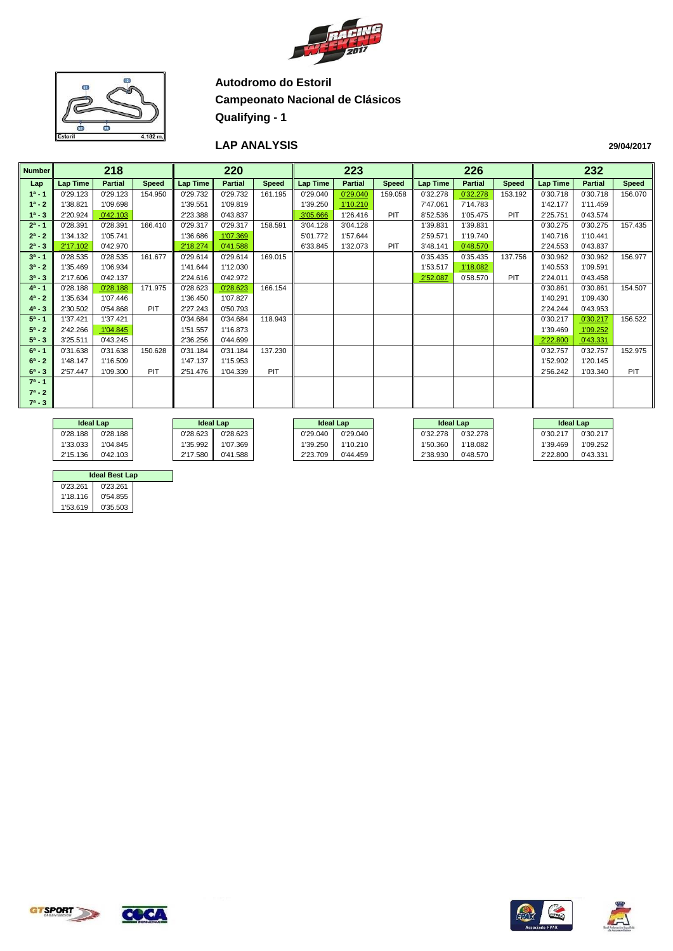



#### **LAP ANALYSIS**

|               | 218<br><b>Lap Time</b><br><b>Partial</b> |          |              |                 |                |              |                 |                |              |                 |                |              |          |                |            |
|---------------|------------------------------------------|----------|--------------|-----------------|----------------|--------------|-----------------|----------------|--------------|-----------------|----------------|--------------|----------|----------------|------------|
| <b>Number</b> |                                          |          |              |                 | 220            |              |                 | 223            |              |                 | 226            |              |          | 232            |            |
| Lap           |                                          |          | <b>Speed</b> | <b>Lap Time</b> | <b>Partial</b> | <b>Speed</b> | <b>Lap Time</b> | <b>Partial</b> | <b>Speed</b> | <b>Lap Time</b> | <b>Partial</b> | <b>Speed</b> | Lap Time | <b>Partial</b> | Speed      |
| $1^a - 1$     | 0'29.123                                 | 0'29.123 | 154.950      | 0'29.732        | 0'29.732       | 161.195      | 0'29.040        | 0'29.040       | 159.058      | 0'32.278        | 0'32.278       | 153.192      | 0'30.718 | 0'30.718       | 156.070    |
| $1^a - 2$     | 1'38.821                                 | 1'09.698 |              | 1'39.551        | 1'09.819       |              | 1'39.250        | 1'10.210       |              | 7'47.061        | 7'14.783       |              | 1'42.177 | 1'11.459       |            |
| $1^a - 3$     | 2'20.924                                 | 0'42.103 |              | 2'23.388        | 0'43.837       |              | 3'05.666        | 1'26.416       | PIT          | 8'52.536        | 1'05.475       | PIT          | 2'25.751 | 0'43.574       |            |
| $2^a - 1$     | 0'28.391                                 | 0'28.391 | 166.410      | 0'29.317        | 0'29.317       | 158.591      | 3'04.128        | 3'04.128       |              | 1'39.831        | 1'39.831       |              | 0'30.275 | 0'30.275       | 157.435    |
| $2^a - 2$     | 1'34.132                                 | 1'05.741 |              | 1'36.686        | 1'07.369       |              | 5'01.772        | 1'57.644       |              | 2'59.571        | 1'19.740       |              | 1'40.716 | 1'10.441       |            |
| $2^a - 3$     | 2'17.102                                 | 0'42.970 |              | 2'18.274        | 0'41.588       |              | 6'33.845        | 1'32.073       | PIT          | 3'48.141        | 0'48.570       |              | 2'24.553 | 0'43.837       |            |
| $3^a - 1$     | 0'28.535                                 | 0'28.535 | 161.677      | 0'29.614        | 0'29.614       | 169.015      |                 |                |              | 0'35.435        | 0'35.435       | 137.756      | 0'30.962 | 0'30.962       | 156.977    |
| $3^a - 2$     | 1'35.469                                 | 1'06.934 |              | 1'41.644        | 1'12.030       |              |                 |                |              | 1'53.517        | 1'18.082       |              | 1'40.553 | 1'09.591       |            |
| $3^a - 3$     | 2'17.606                                 | 0'42.137 |              | 2'24.616        | 0'42.972       |              |                 |                |              | 2'52.087        | 0'58.570       | PIT          | 2'24.011 | 0'43.458       |            |
| $4^a - 1$     | 0'28.188                                 | 0'28.188 | 171.975      | 0'28.623        | 0'28.623       | 166.154      |                 |                |              |                 |                |              | 0'30.861 | 0'30.861       | 154.507    |
| $4^a - 2$     | 1'35.634                                 | 1'07.446 |              | 1'36.450        | 1'07.827       |              |                 |                |              |                 |                |              | 1'40.291 | 1'09.430       |            |
| $4^a - 3$     | 2'30.502                                 | 0'54.868 | PIT          | 2'27.243        | 0'50.793       |              |                 |                |              |                 |                |              | 2'24.244 | 0'43.953       |            |
| $5^a - 1$     | 1'37.421                                 | 1'37.421 |              | 0'34.684        | 0'34.684       | 118.943      |                 |                |              |                 |                |              | 0'30.217 | 0'30.217       | 156.522    |
| $5^a - 2$     | 2'42.266                                 | 1'04.845 |              | 1'51.557        | 1'16.873       |              |                 |                |              |                 |                |              | 1'39.469 | 1'09.252       |            |
| $5^a - 3$     | 3'25.511                                 | 0'43.245 |              | 2'36.256        | 0'44.699       |              |                 |                |              |                 |                |              | 2'22.800 | 0'43.331       |            |
| $6^a - 1$     | 0'31.638                                 | 0'31.638 | 150.628      | 0'31.184        | 0'31.184       | 137.230      |                 |                |              |                 |                |              | 0'32.757 | 0'32.757       | 152.975    |
| $6^a - 2$     | 1'48.147                                 | 1'16.509 |              | 1'47.137        | 1'15.953       |              |                 |                |              |                 |                |              | 1'52.902 | 1'20.145       |            |
| $6^a - 3$     | 2'57.447                                 | 1'09.300 | PIT          | 2'51.476        | 1'04.339       | PIT          |                 |                |              |                 |                |              | 2'56.242 | 1'03.340       | <b>PIT</b> |
| $7^a - 1$     |                                          |          |              |                 |                |              |                 |                |              |                 |                |              |          |                |            |
| $7^a - 2$     |                                          |          |              |                 |                |              |                 |                |              |                 |                |              |          |                |            |
| $7^a - 3$     |                                          |          |              |                 |                |              |                 |                |              |                 |                |              |          |                |            |
|               |                                          |          |              |                 |                |              |                 |                |              |                 |                |              |          |                |            |

|          | <b>Ideal Lap</b> |             | <b>Ideal Lap</b> |                      | <b>Ideal Lap</b> |          | <b>Ideal Lap</b> | <b>Ideal Lap</b> |          |
|----------|------------------|-------------|------------------|----------------------|------------------|----------|------------------|------------------|----------|
| 0'28.188 | 0'28.188         | 0'28.623    | 0'28.623         | 0'29.040             | 0'29.040         | 0'32.278 | 0'32.278         | 0'30.217         | 0'30.217 |
| 1'33.033 | 1'04.845         | 1'35.992    | 1'07.369         | 1'39.250<br>1'10.210 |                  | 1'50.360 | 1'18.082         | 1'39.469         | 1'09.252 |
| 2'15.136 | 0'42.103         | 580<br>2'17 | 0'41.588         | 2'23.709             | 0'44.459         | 2'38.930 | 0'48.570         | 2'22.800         | 0'43.331 |

|          | <b>Ideal Best Lap</b> |  |
|----------|-----------------------|--|
| 0'23.261 | 0'23.261              |  |
| 1'18.116 | 0'54.855              |  |
| 1'53.619 | 0'35.503              |  |







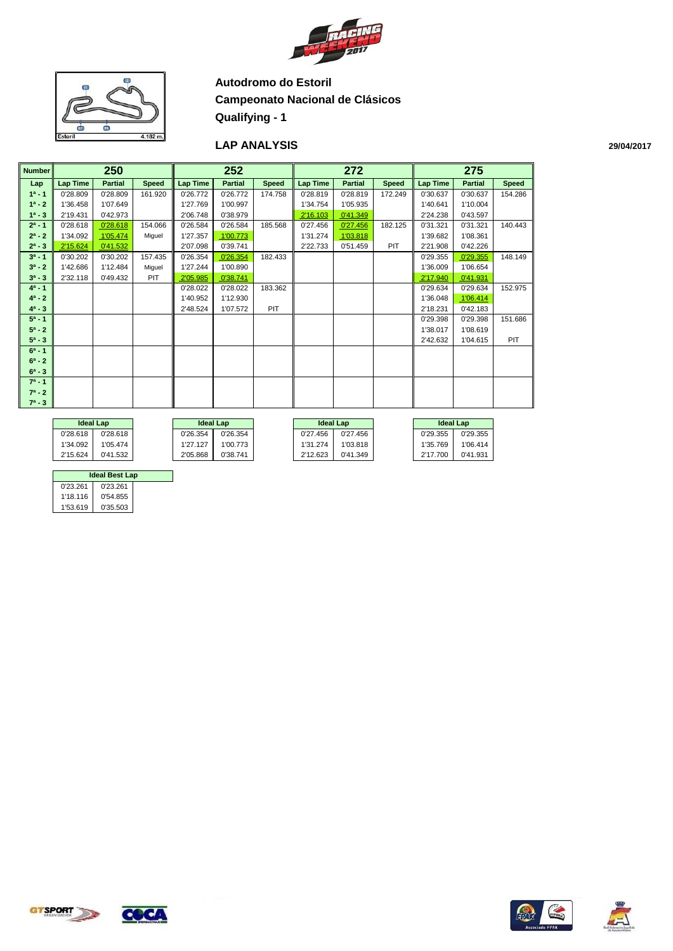



#### **LAP ANALYSIS**

| Number    |          | 250            |              |                 | 252                 |              |                 | 272            |              |                 | 275            |              |
|-----------|----------|----------------|--------------|-----------------|---------------------|--------------|-----------------|----------------|--------------|-----------------|----------------|--------------|
| Lap       | Lap Time | <b>Partial</b> | <b>Speed</b> | <b>Lap Time</b> | <b>Partial</b>      | <b>Speed</b> | <b>Lap Time</b> | <b>Partial</b> | <b>Speed</b> | <b>Lap Time</b> | <b>Partial</b> | <b>Speed</b> |
| $1^a - 1$ | 0'28.809 | 0'28.809       | 161.920      | 0'26.772        | 0'26.772            | 174.758      | 0'28.819        | 0'28.819       | 172.249      | 0'30.637        | 0'30.637       | 154.286      |
| $1^a - 2$ | 1'36.458 | 1'07.649       |              | 1'27.769        | 1'00.997            |              | 1'34.754        | 1'05.935       |              | 1'40.641        | 1'10.004       |              |
| $1^a - 3$ | 2'19.431 | 0'42.973       |              | 2'06.748        | 0'38.979            |              | 2'16.103        | 0'41.349       |              | 2'24.238        | 0'43.597       |              |
| $2^a - 1$ | 0'28.618 | 0'28.618       | 154.066      | 0'26.584        | 0'26.584            | 185.568      | 0'27.456        | 0'27.456       | 182.125      | 0'31.321        | 0'31.321       | 140.443      |
| $2^a - 2$ | 1'34.092 | 1'05.474       | Miguel       | 1'27.357        | 1'00.773            |              | 1'31.274        | 1'03.818       |              | 1'39.682        | 1'08.361       |              |
| $2^a - 3$ | 2'15.624 | 0'41.532       |              | 2'07.098        | 0'39.741            |              | 2'22.733        | 0'51.459       | PIT          | 2'21.908        | 0'42.226       |              |
| $3^a - 1$ | 0'30.202 | 0'30.202       | 157.435      | 0'26.354        | 0'26.354            | 182.433      |                 |                |              | 0'29.355        | 0'29.355       | 148.149      |
| $3^a - 2$ | 1'42.686 | 1'12.484       | Miguel       | 1'27.244        | 1'00.890            |              |                 |                |              | 1'36.009        | 1'06.654       |              |
| $3^a - 3$ | 2'32.118 | 0'49.432       | PIT          | 2'05.985        | 0'38.741            |              |                 |                |              | 2'17.940        | 0'41.931       |              |
| $4^a - 1$ |          |                |              | 0'28.022        | 183.362<br>0'28.022 |              |                 |                |              | 0'29.634        | 0'29.634       | 152.975      |
| $4^a - 2$ |          |                |              | 1'40.952        | 1'12.930            |              |                 |                |              | 1'36.048        | 1'06.414       |              |
| $4^a - 3$ |          |                |              | 2'48.524        | 1'07.572            | <b>PIT</b>   |                 |                |              | 2'18.231        | 0'42.183       |              |
| $5^a - 1$ |          |                |              |                 |                     |              |                 |                |              | 0'29.398        | 0'29.398       | 151.686      |
| $5^a - 2$ |          |                |              |                 |                     |              |                 |                |              | 1'38.017        | 1'08.619       |              |
| $5^a - 3$ |          |                |              |                 |                     |              |                 |                |              | 2'42.632        | 1'04.615       | PIT          |
| $6^a - 1$ |          |                |              |                 |                     |              |                 |                |              |                 |                |              |
| $6^a - 2$ |          |                |              |                 |                     |              |                 |                |              |                 |                |              |
| $6^a - 3$ |          |                |              |                 |                     |              |                 |                |              |                 |                |              |
| $7^a - 1$ |          |                |              |                 |                     |              |                 |                |              |                 |                |              |
| $7^a - 2$ |          |                |              |                 |                     |              |                 |                |              |                 |                |              |
| $7^a - 3$ |          |                |              |                 |                     |              |                 |                |              |                 |                |              |
|           |          |                |              |                 |                     |              |                 |                |              |                 |                |              |
|           |          | ldool Lon      |              |                 | ldeal Leabl         |              |                 | ldeal Leabl    |              | ldool Lon       |                |              |

| <b>Ideal Lap</b> |          | <b>Ideal Lap</b>     |          | <b>Ideal Lap</b>     |          |          | <b>Ideal Lap</b> |
|------------------|----------|----------------------|----------|----------------------|----------|----------|------------------|
| 0'28.618         | 0'28.618 | 0'26.354             | 0'26.354 | 0'27.456             | 0'27.456 | 0'29.355 | 0'29.355         |
| 1'34.092         | 1'05.474 | 1'27.127             | 1'00.773 | 1'31.274             | 1'03.818 | 1'35.769 | 1'06.414         |
| 2'15.624         | 0'41.532 | 2'05.868<br>0'38.741 |          | 2'12.623<br>0'41.349 |          | 2'17.700 | 0'41.931         |

|          | <b>Ideal Best Lap</b> |  |
|----------|-----------------------|--|
| 0'23.261 | 0'23.261              |  |
| 1'18.116 | 0'54.855              |  |
| 1'53.619 | 0'35.503              |  |







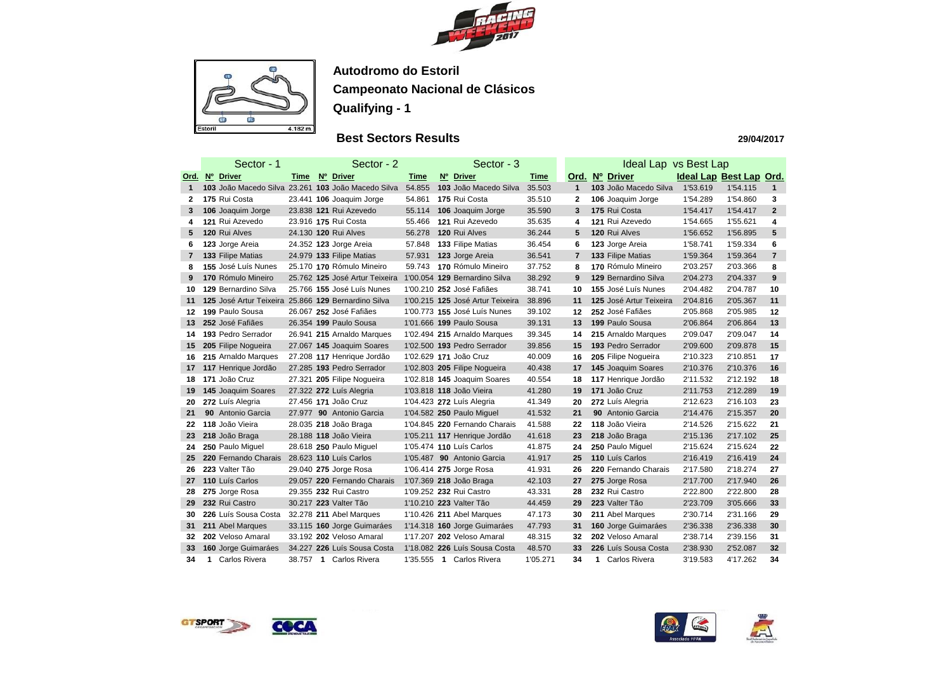



## **Best Sectors Results**

|              |   | Sector - 1                                          |        | Sector - 2                      |             | Sector - 3                       |          |                | Ideal Lap vs Best Lap        |          |                         |                |
|--------------|---|-----------------------------------------------------|--------|---------------------------------|-------------|----------------------------------|----------|----------------|------------------------------|----------|-------------------------|----------------|
| <u>Ord.</u>  |   | Nº Driver                                           | Time   | Nº Driver                       | <b>Time</b> | Nº Driver                        | Time     | Ord.           | $N^{\circ}$<br><b>Driver</b> |          | Ideal Lap Best Lap Ord. |                |
| 1            |   | 103 João Macedo Silva 23.261 103 João Macedo Silva  |        |                                 | 54.855      | 103 João Macedo Silva            | 35.503   | 1              | 103 João Macedo Silva        | 1'53.619 | 1'54.115                | $\mathbf{1}$   |
| 2            |   | 175 Rui Costa                                       |        | 23.441 <b>106</b> Joaquim Jorge | 54.861      | 175 Rui Costa                    | 35.510   | $\mathbf{2}$   | 106 Joaquim Jorge            | 1'54.289 | 1'54.860                | 3              |
| 3.           |   | 106 Joaquim Jorge                                   |        | 23.838 121 Rui Azevedo          | 55.114      | 106 Joaquim Jorge                | 35.590   | 3              | 175 Rui Costa                | 1'54.417 | 1'54.417                | $\mathbf{2}$   |
| 4            |   | 121 Rui Azevedo                                     |        | 23.916 175 Rui Costa            | 55.466      | 121 Rui Azevedo                  | 35.635   | 4              | 121 Rui Azevedo              | 1'54.665 | 1'55.621                | 4              |
| 5.           |   | 120 Rui Alves                                       |        | 24.130 120 Rui Alves            | 56.278      | 120 Rui Alves                    | 36.244   | 5              | 120 Rui Alves                | 1'56.652 | 1'56.895                | 5              |
| 6.           |   | 123 Jorge Areia                                     |        | 24.352 123 Jorge Areia          | 57.848      | 133 Filipe Matias                | 36.454   | 6              | 123 Jorge Areia              | 1'58.741 | 1'59.334                | 6              |
| $\mathbf{7}$ |   | 133 Filipe Matias                                   |        | 24.979 133 Filipe Matias        | 57.931      | 123 Jorge Areia                  | 36.541   | $\overline{7}$ | 133 Filipe Matias            | 1'59.364 | 1'59.364                | $\overline{7}$ |
| 8            |   | 155 José Luís Nunes                                 |        | 25.170 170 Rómulo Mineiro       | 59.743      | 170 Rómulo Mineiro               | 37.752   | 8              | 170 Rómulo Mineiro           | 2'03.257 | 2'03.366                | 8              |
| 9            |   | 170 Rómulo Mineiro                                  |        | 25.762 125 José Artur Teixeira  |             | 1'00.054 129 Bernardino Silva    | 38.292   | 9              | 129 Bernardino Silva         | 2'04.273 | 2'04.337                | 9              |
| 10           |   | 129 Bernardino Silva                                |        | 25.766 155 José Luís Nunes      |             | 1'00.210 252 José Fafiães        | 38.741   | 10             | 155 José Luís Nunes          | 2'04.482 | 2'04.787                | 10             |
| 11           |   | 125 José Artur Teixeira 25.866 129 Bernardino Silva |        |                                 |             | 1'00.215 125 José Artur Teixeira | 38.896   | 11             | 125 José Artur Teixeira      | 2'04.816 | 2'05.367                | 11             |
| 12           |   | 199 Paulo Sousa                                     |        | 26.067 252 José Fafiães         |             | 1'00.773 155 José Luís Nunes     | 39.102   | 12             | 252 José Fafiães             | 2'05.868 | 2'05.985                | 12             |
| 13           |   | 252 José Fafiães                                    |        | 26.354 199 Paulo Sousa          |             | 1'01.666 199 Paulo Sousa         | 39.131   | 13             | 199 Paulo Sousa              | 2'06.864 | 2'06.864                | 13             |
| 14.          |   | 193 Pedro Serrador                                  |        | 26.941 215 Arnaldo Marques      |             | 1'02.494 215 Arnaldo Marques     | 39.345   | 14             | 215 Arnaldo Marques          | 2'09.047 | 2'09.047                | 14             |
| 15           |   | 205 Filipe Nogueira                                 |        | 27.067 145 Joaquim Soares       |             | 1'02.500 193 Pedro Serrador      | 39.856   | 15             | 193 Pedro Serrador           | 2'09.600 | 2'09.878                | 15             |
| 16           |   | 215 Arnaldo Marques                                 |        | 27.208 117 Henrique Jordão      |             | 1'02.629 171 João Cruz           | 40.009   | 16             | 205 Filipe Nogueira          | 2'10.323 | 2'10.851                | 17             |
| 17           |   | 117 Henrique Jordão                                 |        | 27.285 193 Pedro Serrador       |             | 1'02.803 205 Filipe Nogueira     | 40.438   | 17             | 145 Joaquim Soares           | 2'10.376 | 2'10.376                | 16             |
| 18           |   | 171 João Cruz                                       |        | 27.321 205 Filipe Nogueira      |             | 1'02.818 145 Joaquim Soares      | 40.554   | 18             | 117 Henrique Jordão          | 2'11.532 | 2'12.192                | 18             |
| 19           |   | 145 Joaquim Soares                                  |        | 27.322 272 Luís Alegria         |             | 1'03.818 118 João Vieira         | 41.280   | 19             | 171 João Cruz                | 2'11.753 | 2'12.289                | 19             |
| 20           |   | 272 Luís Alegria                                    |        | 27.456 171 João Cruz            |             | 1'04.423 272 Luís Alegria        | 41.349   | 20             | 272 Luís Alegria             | 2'12.623 | 2'16.103                | 23             |
| 21           |   | 90 Antonio Garcia                                   | 27.977 | 90 Antonio Garcia               |             | 1'04.582 250 Paulo Miguel        | 41.532   | 21             | 90 Antonio Garcia            | 2'14.476 | 2'15.357                | 20             |
| 22           |   | 118 João Vieira                                     |        | 28.035 218 João Braga           |             | 1'04.845 220 Fernando Charais    | 41.588   | 22             | 118 João Vieira              | 2'14.526 | 2'15.622                | 21             |
| 23           |   | 218 João Braga                                      |        | 28.188 118 João Vieira          |             | 1'05.211 117 Henrique Jordão     | 41.618   | 23             | 218 João Braga               | 2'15.136 | 2'17.102                | 25             |
| 24           |   | 250 Paulo Miguel                                    |        | 28.618 250 Paulo Miguel         |             | 1'05.474 110 Luís Carlos         | 41.875   | 24             | 250 Paulo Miguel             | 2'15.624 | 2'15.624                | 22             |
| 25           |   | 220 Fernando Charais 28.623 110 Luís Carlos         |        |                                 |             | 1'05.487 90 Antonio Garcia       | 41.917   | 25             | 110 Luís Carlos              | 2'16.419 | 2'16.419                | 24             |
| 26           |   | 223 Valter Tão                                      |        | 29.040 275 Jorge Rosa           |             | 1'06.414 275 Jorge Rosa          | 41.931   | 26             | 220 Fernando Charais         | 2'17.580 | 2'18.274                | 27             |
| 27           |   | 110 Luís Carlos                                     |        | 29.057 220 Fernando Charais     |             | 1'07.369 218 João Braga          | 42.103   | 27             | 275 Jorge Rosa               | 2'17.700 | 2'17.940                | 26             |
| 28           |   | 275 Jorge Rosa                                      |        | 29.355 232 Rui Castro           |             | 1'09.252 232 Rui Castro          | 43.331   | 28             | 232 Rui Castro               | 2'22.800 | 2'22.800                | 28             |
| 29           |   | 232 Rui Castro                                      |        | 30.217 223 Valter Tão           |             | 1'10.210 223 Valter Tão          | 44.459   | 29             | 223 Valter Tão               | 2'23.709 | 3'05.666                | 33             |
| 30           |   | 226 Luís Sousa Costa                                |        | 32.278 211 Abel Marques         |             | 1'10.426 211 Abel Marques        | 47.173   | 30             | 211 Abel Marques             | 2'30.714 | 2'31.166                | 29             |
| 31           |   | 211 Abel Marques                                    |        | 33.115 160 Jorge Guimaráes      |             | 1'14.318 160 Jorge Guimaráes     | 47.793   | 31             | 160 Jorge Guimaráes          | 2'36.338 | 2'36.338                | 30             |
| 32           |   | 202 Veloso Amaral                                   |        | 33.192 202 Veloso Amaral        |             | 1'17.207 202 Veloso Amaral       | 48.315   | 32             | 202 Veloso Amaral            | 2'38.714 | 2'39.156                | 31             |
| 33           |   | 160 Jorge Guimaráes                                 |        | 34.227 226 Luís Sousa Costa     |             | 1'18.082 226 Luís Sousa Costa    | 48.570   | 33             | 226 Luís Sousa Costa         | 2'38.930 | 2'52.087                | 32             |
| 34           | 1 | Carlos Rivera                                       |        | 38.757 1 Carlos Rivera          |             | 1'35.555 1 Carlos Rivera         | 1'05.271 | 34             | Carlos Rivera<br>1           | 3'19.583 | 4'17.262                | 34             |









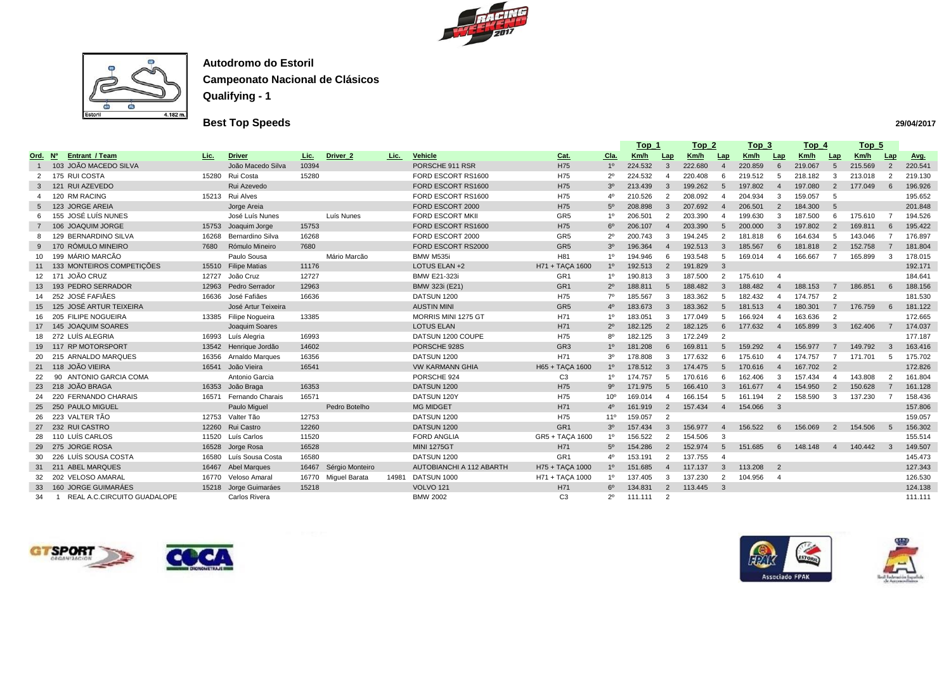



## **Best Top Speeds**

|                |                             |       |                         |             |                       |       |                          |                 |                 | <u> Top_1</u>                                        |                 | <u>Top_2</u> |                | <u>Top_3</u> |                            | <u>Top_4</u> |                | <u>Top_5</u> |                |             |
|----------------|-----------------------------|-------|-------------------------|-------------|-----------------------|-------|--------------------------|-----------------|-----------------|------------------------------------------------------|-----------------|--------------|----------------|--------------|----------------------------|--------------|----------------|--------------|----------------|-------------|
| <u>Ord. Nº</u> | <b>Entrant / Team</b>       | Lic.  | <b>Driver</b>           | <u>Lic.</u> | Driver <sub>2</sub>   | Lic.  | <b>Vehicle</b>           | <u>Cat.</u>     | <u>Cla.</u>     | <u>Km/h</u>                                          | Lap             | <u>Km/h</u>  | Lap            | <u>Km/h</u>  | Lap                        | Km/h         | Lap            | Km/h         | Lap            | <u>Avg.</u> |
|                | 103 JOÃO MACEDO SILVA       |       | João Macedo Silva       | 10394       |                       |       | PORSCHE 911 RSR          | H75             | 1 <sup>0</sup>  | 224.532                                              | $\mathbf{3}$    | 222.680      | $\overline{A}$ | 220.859      | 6                          | 219.067      | 5              | 215.569      | $\overline{2}$ | 220.541     |
|                | 175 RUI COSTA               | 15280 | Rui Costa               | 15280       |                       |       | FORD ESCORT RS1600       | H75             |                 | 224.532                                              |                 | 220.408      | <b>6</b>       | 219.512      |                            | 218.182      | 3              | 213.018      |                | 219.130     |
|                | 121 RUI AZEVEDO             |       | Rui Azevedo             |             |                       |       | FORD ESCORT RS1600       | H75             | 3 <sup>o</sup>  | 213.439                                              | $\mathbf{3}$    | 199.262      | -5             | 197.802      | - 4                        | 197.080      | 2              | 177.049      |                | 196.926     |
|                | 120 RM RACING               |       | 15213 Rui Alves         |             |                       |       | FORD ESCORT RS1600       | H75             |                 | 210.526                                              | $\mathcal{P}$   | 208.092      |                | 204.934      | -3                         | 159.057      | -5             |              |                | 195.652     |
|                | 5 123 JORGE AREIA           |       | Jorge Areia             |             |                       |       | FORD ESCORT 2000         | H75             | 5 <sup>o</sup>  | 208.898                                              | $\mathbf{3}$    | 207.692      | $\overline{4}$ | 206.501      | $\overline{2}$             | 184.300      | -5             |              |                | 201.848     |
|                | 155 JOSÉ LUÍS NUNES         |       | José Luís Nunes         |             | Luís Nunes            |       | <b>FORD ESCORT MKII</b>  | GR <sub>5</sub> |                 | 206.501                                              | -2              | 203.390      |                | 199.630      | -3                         | 187.500      | 6              | 175.610      |                | 194.526     |
|                | 106 JOAQUIM JORGE           | 15753 | Joaquim Jorge           | 15753       |                       |       | FORD ESCORT RS1600       | H75             | $6^{\circ}$     | 206.107                                              | $\overline{4}$  | 203.390      | -5             | 200.000      | -3                         | 197.802      | $\overline{2}$ | 169.811      |                | 195.422     |
|                | 129 BERNARDINO SILVA        | 16268 | Bernardino Silva        | 16268       |                       |       | FORD ESCORT 2000         | GR <sub>5</sub> | 2 <sup>c</sup>  | 200.743                                              | -3              | 194.245      | $\overline{2}$ | 181.818      |                            | 164.634      | 5              | 143.046      |                | 176.897     |
| 9              | 170 RÓMULO MINEIRO          | 7680  | Rómulo Mineiro          | 7680        |                       |       | FORD ESCORT RS2000       | GR <sub>5</sub> | 3 <sup>o</sup>  | 196.364                                              |                 | 192.513      | -3             | 185.567      | - 6                        | 181.818      | $\overline{2}$ | 152.758      |                | 181.804     |
| 10 I           | 199 MÁRIO MARCÃO            |       | Paulo Sousa             |             | Mário Marcão          |       | BMW M535i                | H81             | 10              | 194.946                                              | 6               | 193.548      |                | 169.014      |                            | 166.667      |                | 165.899      |                | 178.015     |
|                | 133 MONTEIROS COMPETIÇÕES   | 15510 | <b>Filipe Matias</b>    | 11176       |                       |       | LOTUS ELAN +2            | H71 + TAÇA 1600 | $1^{\circ}$     | 192.513                                              | $\overline{2}$  | 191.829      | $\mathbf{3}$   |              |                            |              |                |              |                | 192.171     |
|                | 12 171 JOÃO CRUZ            | 12727 | João Cruz               | 12727       |                       |       | <b>BMW E21-323i</b>      | GR <sub>1</sub> | 10              | 190.813                                              | -3              | 187.500      | -2             | 175.610      | - 4                        |              |                |              |                | 184.641     |
|                | 13 193 PEDRO SERRADOR       | 12963 | Pedro Serrador          | 12963       |                       |       | BMW 323i (E21)           | GR <sub>1</sub> | $2^{\circ}$     | 188.811                                              | $5\overline{)}$ | 188.482      | -3             | 188.482      |                            | 188.153      |                | 186.851      |                | 188.156     |
|                | 14 252 JOSÉ FAFIÃES         |       | 16636 José Fafiães      | 16636       |                       |       | DATSUN 1200              | H75             | 70              | 185.567                                              | -3              | 183.362      | -5             | 182.432      |                            | 174.757      | -2             |              |                | 181.530     |
|                | 15 125 JOSÉ ARTUR TEIXEIRA  |       | José Artur Teixeira     |             |                       |       | <b>AUSTIN MINI</b>       | GR <sub>5</sub> | $4^{\circ}$     | 183.673                                              | 3               | 183.362      | -5             | 181.513      | -4                         | 180.301      |                | 176.759      |                | 181.122     |
|                | 16 205 FILIPE NOGUEIRA      |       | 13385 Filipe Nogueira   | 13385       |                       |       | MORRIS MINI 1275 GT      | H71             | 10              | 183.051                                              | 3               | 177.049      |                | 166.924      | -4                         | 163.636      | 2              |              |                | 172.665     |
|                | 17 145 JOAQUIM SOARES       |       | Joaquim Soares          |             |                       |       | <b>LOTUS ELAN</b>        | H71             | $2^{\circ}$     | 182.125                                              | $\overline{2}$  | 182.125      | 6              | 177.632      | $\overline{4}$             | 165.899      | $3^{\circ}$    | 162.406      |                | 174.037     |
|                | 272 LUÍS ALEGRIA            |       | 16993 Luís Alegria      | 16993       |                       |       | DATSUN 1200 COUPE        | H75             | 8 <sup>o</sup>  | 182.125                                              | 3               | 172.249      | $\overline{2}$ |              |                            |              |                |              |                | 177.187     |
|                | 19 117 RP MOTORSPORT        |       | 13542 Henrique Jordão   | 14602       |                       |       | PORSCHE 928S             | GR <sub>3</sub> | 1 <sup>0</sup>  | 181.208                                              | 6               | 169.811      | $\overline{5}$ | 159.292      |                            | 156.977      |                | 149.792      |                | 163.416     |
|                | 20 215 ARNALDO MARQUES      | 16356 | Arnaldo Marques         | 16356       |                       |       | DATSUN 1200              | H71             | 3 <sup>o</sup>  | 178.808                                              | -3              | 177.632      | 6              | 175.610      | -4                         | 174.757      |                | 171.701      |                | 175.702     |
|                | 21 118 JOÃO VIEIRA          |       | 16541 João Vieira       | 16541       |                       |       | <b>VW KARMANN GHIA</b>   | H65 + TAÇA 1600 | 1 <sup>0</sup>  | 178.512                                              | $\mathbf{3}$    | 174.475      | -5             | 170.616      | $\overline{4}$             | 167.702      | $\overline{2}$ |              |                | 172.826     |
|                | ANTONIO GARCIA COMA<br>90   |       | Antonio Garcia          |             |                       |       | PORSCHE 924              | C <sub>3</sub>  | 10              | 174.757                                              | 5               | 170.616      | 6              | 162.406      | -3                         | 157.434      |                | 143.808      | $\overline{2}$ | 161.804     |
|                | 23 218 JOÃO BRAGA           |       | 16353 João Braga        | 16353       |                       |       | DATSUN 1200              | H75             | $9^{\circ}$     | 171.975                                              | 5               | 166.410      | -3             | 161.677      | - 4                        | 154.950      | $\overline{2}$ | 150.628      |                | 161.128     |
| -24            | 220 FERNANDO CHARAIS        | 16571 | <b>Fernando Charais</b> | 16571       |                       |       | DATSUN 120Y              | H75             | 10 <sup>o</sup> | 169.014                                              |                 | 166.154      | -5             | 161.194      | $\overline{2}$             | 158.590      | -3             | 137.230      |                | 158.436     |
|                | 25 250 PAULO MIGUEL         |       | Paulo Miguel            |             | Pedro Botelho         |       | <b>MG MIDGET</b>         | H71             |                 | 161.919                                              | 2               | 157.434      | $\overline{4}$ | 154.066      | $\overline{\phantom{a}}$ 3 |              |                |              |                | 157.806     |
|                | 26 223 VALTER TÃO           | 12753 | Valter Tão              | 12753       |                       |       | DATSUN 1200              | H75             | $11^{\circ}$    | 159.057                                              | $\overline{2}$  |              |                |              |                            |              |                |              |                | 159.057     |
|                | 27 232 RUI CASTRO           | 12260 | Rui Castro              | 12260       |                       |       | DATSUN 1200              | GR <sub>1</sub> | 3 <sup>o</sup>  | 157.434                                              | 3               | 156.977      | $\overline{4}$ | 156.522      | -6                         | 156.069      | $\overline{2}$ | 154.506      |                | 156.302     |
|                | 28 110 LUÍS CARLOS          | 11520 | Luís Carlos             | 11520       |                       |       | <b>FORD ANGLIA</b>       | GR5 + TAÇA 1600 | $1^{\circ}$     | 156.522                                              | $\overline{2}$  | 154.506      |                |              |                            |              |                |              |                | 155.514     |
|                | 29 275 JORGE ROSA           |       | 16528 Jorge Rosa        | 16528       |                       |       | <b>MINI 1275GT</b>       | H71             |                 | 5º 154.286 2 152.974 5 151.685 6 148.148 4 140.442 3 |                 |              |                |              |                            |              |                |              |                | 149.507     |
|                | 30 226 LUÍS SOUSA COSTA     |       | 16580 Luís Sousa Costa  | 16580       |                       |       | DATSUN 1200              | GR <sub>1</sub> |                 | 153.191                                              | 2               | 137.755      |                |              |                            |              |                |              |                | 145.473     |
|                | 31 211 ABEL MARQUES         |       | 16467 Abel Marques      |             | 16467 Sérgio Monteiro |       | AUTOBIANCHI A 112 ABARTH | H75 + TAÇA 1000 | $1^{\circ}$     | 151.685                                              | $\overline{4}$  | 117.137      | $\mathbf{3}$   | 113.208 2    |                            |              |                |              |                | 127.343     |
|                | 32 202 VELOSO AMARAL        |       | 16770 Veloso Amaral     |             | 16770 Miguel Barata   | 14981 | DATSUN 1000              | H71 + TAÇA 1000 | $1^{\circ}$     | 137.405                                              | 3               | 137.230      | $\overline{2}$ | 104.956      | $\overline{4}$             |              |                |              |                | 126.530     |
| 33             | 160 JORGE GUIMARÁES         |       | 15218 Jorge Guimaráes   | 15218       |                       |       | <b>VOLVO 121</b>         | H71             | $6^{\circ}$     | 134.831                                              | $\overline{2}$  | 113.445 3    |                |              |                            |              |                |              |                | 124.138     |
| -34            | REAL A.C.CIRCUITO GUADALOPE |       | <b>Carlos Rivera</b>    |             |                       |       | <b>BMW 2002</b>          | C <sub>3</sub>  | $2^{\circ}$     | 111.111 2                                            |                 |              |                |              |                            |              |                |              |                | 111.111     |





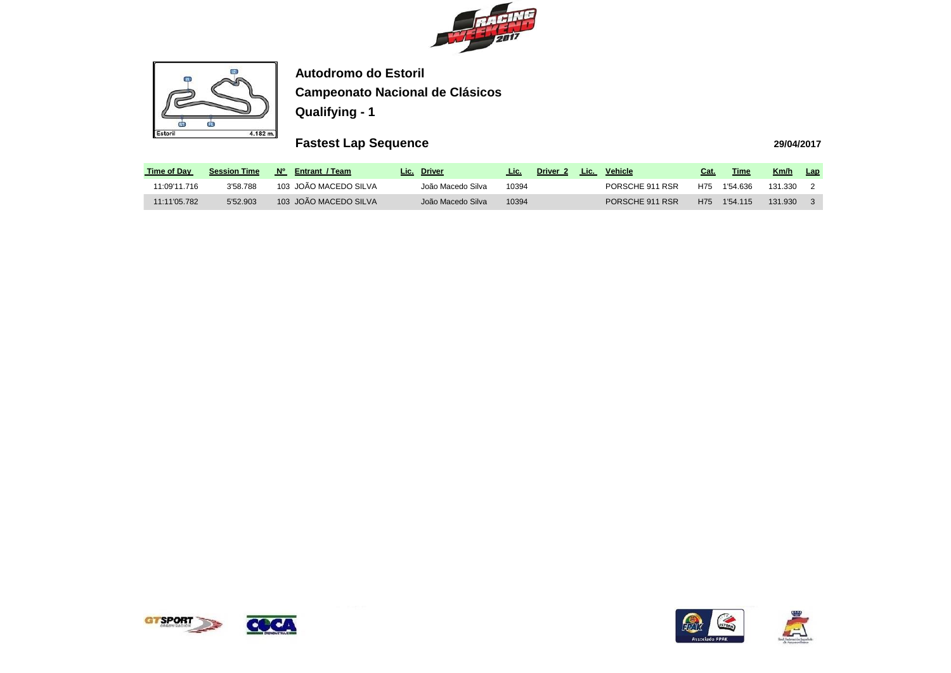



# **Fastest Lap Sequence**

| <b>Time of Day</b> | <b>Session Time</b> | N٥<br><b>Entrant / Team</b> | <b>Driver</b><br>Lic. . | Lic.  | Driver <sub>2</sub> | Lic. | <b>Vehicle</b>  | Cat. | Time     | Km/h    | Lap |
|--------------------|---------------------|-----------------------------|-------------------------|-------|---------------------|------|-----------------|------|----------|---------|-----|
| 11:09'11.716       | 3'58.788            | 103 JOÃO MACEDO SILVA       | João Macedo Silva       | 10394 |                     |      | PORSCHE 911 RSR | H75. | 1'54.636 | 131.330 |     |
| 11:11'05.782       | 5'52.903            | 103 JOÃO MACEDO SILVA       | João Macedo Silva       | 10394 |                     |      | PORSCHE 911 RSR | H75  | 1'54 115 | 131.930 |     |